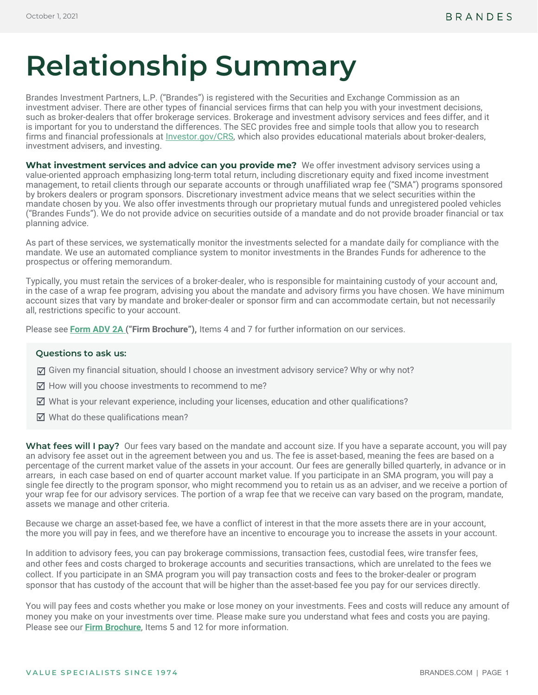# **Relationship Summary**

Brandes Investment Partners, L.P. ("Brandes") is registered with the Securities and Exchange Commission as an investment adviser. There are other types of financial services firms that can help you with your investment decisions, such as broker-dealers that offer brokerage services. Brokerage and investment advisory services and fees differ, and it is important for you to understand the differences. The SEC provides free and simple tools that allow you to research firms and financial professionals at *Investor.gov/CRS*, which also provides educational materials about broker-dealers. investment advisers, and investing.

**What investment services and advice can you provide me?** We offer investment advisory services using a value-oriented approach emphasizing long-term total return, including discretionary equity and fixed income investment management, to retail clients through our separate accounts or through unaffiliated wrap fee ("SMA") programs sponsored by brokers dealers or program sponsors. Discretionary investment advice means that we select securities within the mandate chosen by you. We also offer investments through our proprietary mutual funds and unregistered pooled vehicles ("Brandes Funds"). We do not provide advice on securities outside of a mandate and do not provide broader financial or tax planning advice.

As part of these services, we systematically monitor the investments selected for a mandate daily for compliance with the mandate. We use an automated compliance system to monitor investments in the Brandes Funds for adherence to the prospectus or offering memorandum.

Typically, you must retain the services of a broker-dealer, who is responsible for maintaining custody of your account and, in the case of a wrap fee program, advising you about the mandate and advisory firms you have chosen. We have minimum account sizes that vary by mandate and broker-dealer or sponsor firm and can accommodate certain, but not necessarily all, restrictions specific to your account.

Please see **[Form ADV 2A \(](https://www.brandes.com/docs/default-source/administrative-documents/brandes-form-adv2a-with-privacy-policy)"Firm Brochure"),** Items 4 and 7 for further information on our services.

## **Questions to ask us:**

- $\triangledown$  Given my financial situation, should I choose an investment advisory service? Why or why not?
- $\overline{\mathcal{A}}$  How will you choose investments to recommend to me?
- $\boxtimes$  What is your relevant experience, including your licenses, education and other qualifications?
- $\overline{\mathcal{A}}$  What do these qualifications mean?

What fees will I pay? Our fees vary based on the mandate and account size. If you have a separate account, you will pay an advisory fee asset out in the agreement between you and us. The fee is asset-based, meaning the fees are based on a percentage of the current market value of the assets in your account. Our fees are generally billed quarterly, in advance or in arrears, in each case based on end of quarter account market value. If you participate in an SMA program, you will pay a single fee directly to the program sponsor, who might recommend you to retain us as an adviser, and we receive a portion of your wrap fee for our advisory services. The portion of a wrap fee that we receive can vary based on the program, mandate, assets we manage and other criteria.

Because we charge an asset-based fee, we have a conflict of interest in that the more assets there are in your account, the more you will pay in fees, and we therefore have an incentive to encourage you to increase the assets in your account.

In addition to advisory fees, you can pay brokerage commissions, transaction fees, custodial fees, wire transfer fees, and other fees and costs charged to brokerage accounts and securities transactions, which are unrelated to the fees we collect. If you participate in an SMA program you will pay transaction costs and fees to the broker-dealer or program sponsor that has custody of the account that will be higher than the asset-based fee you pay for our services directly.

You will pay fees and costs whether you make or lose money on your investments. Fees and costs will reduce any amount of money you make on your investments over time. Please make sure you understand what fees and costs you are paying. Please see our **[Firm Brochure](https://www.brandes.com/docs/default-source/administrative-documents/brandes-form-adv2a-with-privacy-policy)**, Items 5 and 12 for more information.